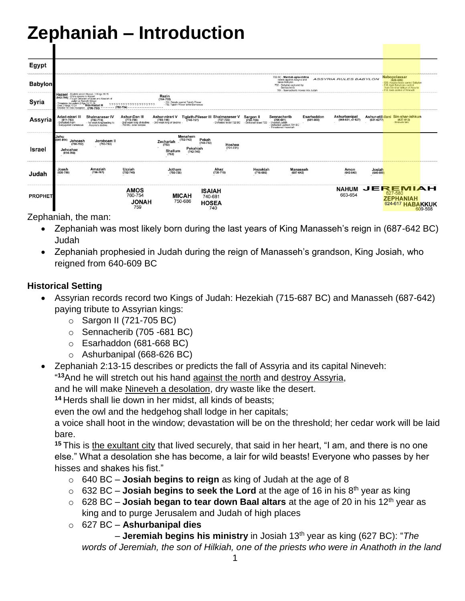# **Zephaniah – Introduction**

| Egypt          |                                                                                                                                                                                               |                                                                                           |                                                                                     |                                                                                                          |                                                                          |                                           |                                                                                                                                    |                                   |                        |                                                                                                                                                                                   |         |
|----------------|-----------------------------------------------------------------------------------------------------------------------------------------------------------------------------------------------|-------------------------------------------------------------------------------------------|-------------------------------------------------------------------------------------|----------------------------------------------------------------------------------------------------------|--------------------------------------------------------------------------|-------------------------------------------|------------------------------------------------------------------------------------------------------------------------------------|-----------------------------------|------------------------|-----------------------------------------------------------------------------------------------------------------------------------------------------------------------------------|---------|
| <b>Babylon</b> | 703 BC - Marduk-apla-iddina<br><b>ASSYRIA RULES BABYLON</b><br>rebels against Assyria and<br>takes Babylon.<br>702 - Babylon captured by<br>Sennacherib<br>701 - Sennacherib moves into Judah |                                                                                           |                                                                                     |                                                                                                          |                                                                          |                                           |                                                                                                                                    |                                   |                        | <b>Nabopolassar</b><br>$(626 - 605)$<br>- 620, Assyria loses control Babylon<br>- 616, took Babylonia control<br>from Sin-shar-ishkun of Assyria<br>-612, took control of Nineveh |         |
| Syria          | Hazael - Elijah to anoint Hazael, 1 Kings 19:15<br>(842-796) - Elisha speaks to Hazael<br>(842-796) - Fought Jehoram of Israel and Ahaziah of<br>Judah at Ramoth-Gilead                       |                                                                                           |                                                                                     | Rezin<br>$(754 - 732)$<br>- 734. Rebels against Tiglath-Pileser<br>- 732. Tiglath-Pileser takes Damascus |                                                                          |                                           |                                                                                                                                    |                                   |                        |                                                                                                                                                                                   |         |
| Assyria        | Adad-nirari III<br>$(811 - 783)$<br>Defeated Aram<br>Subjugated Damascus                                                                                                                      | <b>Shalmaneser IV</b><br>$(783 - 773)$<br>- 1st weak king leading to<br>Assyria's decline | Ashur-Dan III<br>(773-755)<br>- 2nd weak king of decline<br>- 763 BC, solar eclipse | Ashur-nirari V<br>(755-745)<br>- 3rd weak king of decline                                                | Tiglath-Pileser III Shalmaneser V<br>(745-727)<br>Defeated Israel 722 BC | Sargon II<br>(722-705)<br>Defeated Israel | Esarhaddon<br>Sennacherib<br>$(705 - 681)$<br>$(681 - 669)$<br>Invaded Judah<br>- Defeated Lachish 701 BC<br>- Threatened Hezekiah | Ashurbanipal<br>(669-631, or 627) | $(631 - 6277)$         | Ashur-etil-ilani Sin-shar-ishkun<br>$(627 - 612)$<br>Nineveh falls                                                                                                                |         |
| <b>Israel</b>  | Jehu<br>$(841 - 814)$<br>Jehoash<br>$(798 - 782)$<br>Jehoahaz<br>$(814 - 798)$                                                                                                                | Jeroboam II<br>$(793 - 753)$                                                              |                                                                                     | Menahem<br>$(752 - 742)$<br>Zechariah<br>(753)<br>Shallum<br>$(742 - 740)$<br>(752)                      | Pekah<br>$(740 - 732)$<br>Hoshea<br>$(731 - 721)$<br>Pekahiah            |                                           |                                                                                                                                    |                                   |                        |                                                                                                                                                                                   |         |
| Judah          | Joash<br>$(835 - 796)$                                                                                                                                                                        | Amaziah<br>$(796 - 767)$                                                                  | Uzziah<br>$(792 - 740)$                                                             | Jotham<br>$(750 - 735)$                                                                                  | Ahaz<br>$(735 - 715)$                                                    | Hezekiah<br>$(715 - 686)$                 | <b>Manasseh</b><br>$(697 - 642)$                                                                                                   | Amon<br>$(642 - 640)$             | Josiah<br>$(640 - 609$ |                                                                                                                                                                                   |         |
| <b>PROPHET</b> |                                                                                                                                                                                               |                                                                                           | <b>AMOS</b><br>760-754<br><b>HANOL</b><br>759                                       | <b>MICAH</b><br>750-686                                                                                  | <b>ISAIAH</b><br>740-681<br><b>HOSEA</b><br>740                          |                                           |                                                                                                                                    | <b>NAHUM</b><br>663-654           |                        | <b>JEREMIAH</b><br>627-580<br><b>ZEPHANIAH</b><br>624-617 HABAKKUK                                                                                                                | 609-598 |

Zephaniah, the man:

- Zephaniah was most likely born during the last years of King Manasseh's reign in (687-642 BC) Judah
- Zephaniah prophesied in Judah during the reign of Manasseh's grandson, King Josiah, who reigned from 640-609 BC

#### **Historical Setting**

- Assyrian records record two Kings of Judah: Hezekiah (715-687 BC) and Manasseh (687-642) paying tribute to Assyrian kings:
	- $\circ$  Sargon II (721-705 BC)
	- o Sennacherib (705 -681 BC)
	- o Esarhaddon (681-668 BC)
	- o Ashurbanipal (668-626 BC)
- Zephaniah 2:13-15 describes or predicts the fall of Assyria and its capital Nineveh: " **<sup>13</sup>**And he will stretch out his hand against the north and destroy Assyria,

and he will make Nineveh a desolation, dry waste like the desert.

**<sup>14</sup>** Herds shall lie down in her midst, all kinds of beasts;

even the owl and the hedgehog shall lodge in her capitals;

a voice shall hoot in the window; devastation will be on the threshold; her cedar work will be laid bare.

**<sup>15</sup>** This is the exultant city that lived securely, that said in her heart, "I am, and there is no one else." What a desolation she has become, a lair for wild beasts! Everyone who passes by her hisses and shakes his fist."

- o 640 BC **Josiah begins to reign** as king of Judah at the age of 8
- $\circ$  632 BC **Josiah begins to seek the Lord** at the age of 16 in his 8<sup>th</sup> year as king
- o 628 BC **Josiah began to tear down Baal altars** at the age of 20 in his 12th year as king and to purge Jerusalem and Judah of high places
- o 627 BC **Ashurbanipal dies**

 – **Jeremiah begins his ministry** in Josiah 13th year as king (627 BC): "*The words of Jeremiah, the son of Hilkiah, one of the priests who were in Anathoth in the land*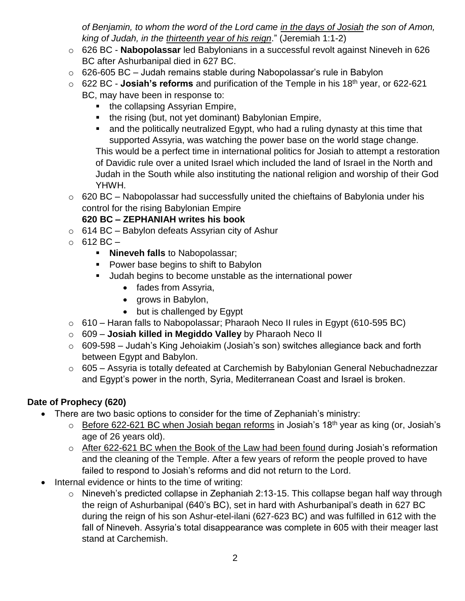*of Benjamin, to whom the word of the Lord came in the days of Josiah the son of Amon, king of Judah, in the thirteenth year of his reign*." (Jeremiah 1:1-2)

- o 626 BC **Nabopolassar** led Babylonians in a successful revolt against Nineveh in 626 BC after Ashurbanipal died in 627 BC.
- $\circ$  626-605 BC Judah remains stable during Nabopolassar's rule in Babylon
- o 622 BC **Josiah's reforms** and purification of the Temple in his 18th year, or 622-621 BC, may have been in response to:
	- the collapsing Assyrian Empire,
	- $\blacksquare$  the rising (but, not yet dominant) Babylonian Empire,
	- and the politically neutralized Egypt, who had a ruling dynasty at this time that supported Assyria, was watching the power base on the world stage change.

This would be a perfect time in international politics for Josiah to attempt a restoration of Davidic rule over a united Israel which included the land of Israel in the North and Judah in the South while also instituting the national religion and worship of their God YHWH.

 $\circ$  620 BC – Nabopolassar had successfully united the chieftains of Babylonia under his control for the rising Babylonian Empire

#### **620 BC – ZEPHANIAH writes his book**

- $\circ$  614 BC Babylon defeats Assyrian city of Ashur
- $\circ$  612 BC
	- **Nineveh falls** to Nabopolassar;
	- **Power base begins to shift to Babylon**
	- Judah begins to become unstable as the international power
		- fades from Assyria,
		- grows in Babylon,
		- but is challenged by Egypt
- $\circ$  610 Haran falls to Nabopolassar; Pharaoh Neco II rules in Egypt (610-595 BC)
- o 609 **Josiah killed in Megiddo Valley** by Pharaoh Neco II
- $\circ$  609-598 Judah's King Jehoiakim (Josiah's son) switches allegiance back and forth between Egypt and Babylon.
- o 605 Assyria is totally defeated at Carchemish by Babylonian General Nebuchadnezzar and Egypt's power in the north, Syria, Mediterranean Coast and Israel is broken.

#### **Date of Prophecy (620)**

- There are two basic options to consider for the time of Zephaniah's ministry:
	- $\circ$  Before 622-621 BC when Josiah began reforms in Josiah's 18<sup>th</sup> year as king (or, Josiah's age of 26 years old).
	- o After 622-621 BC when the Book of the Law had been found during Josiah's reformation and the cleaning of the Temple. After a few years of reform the people proved to have failed to respond to Josiah's reforms and did not return to the Lord.
- Internal evidence or hints to the time of writing:
	- o Nineveh's predicted collapse in Zephaniah 2:13-15. This collapse began half way through the reign of Ashurbanipal (640's BC), set in hard with Ashurbanipal's death in 627 BC during the reign of his son Ashur-etel-ilani (627-623 BC) and was fulfilled in 612 with the fall of Nineveh. Assyria's total disappearance was complete in 605 with their meager last stand at Carchemish.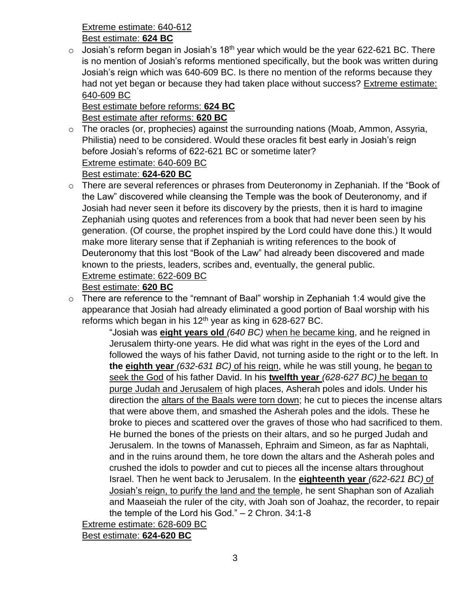Extreme estimate: 640-612

Best estimate: **624 BC**

 $\circ$  Josiah's reform began in Josiah's 18<sup>th</sup> year which would be the year 622-621 BC. There is no mention of Josiah's reforms mentioned specifically, but the book was written during Josiah's reign which was 640-609 BC. Is there no mention of the reforms because they had not yet began or because they had taken place without success? Extreme estimate: 640-609 BC

#### Best estimate before reforms: **624 BC** Best estimate after reforms: **620 BC**

o The oracles (or, prophecies) against the surrounding nations (Moab, Ammon, Assyria, Philistia) need to be considered. Would these oracles fit best early in Josiah's reign before Josiah's reforms of 622-621 BC or sometime later? Extreme estimate: 640-609 BC

#### Best estimate: **624-620 BC**

o There are several references or phrases from Deuteronomy in Zephaniah. If the "Book of the Law" discovered while cleansing the Temple was the book of Deuteronomy, and if Josiah had never seen it before its discovery by the priests, then it is hard to imagine Zephaniah using quotes and references from a book that had never been seen by his generation. (Of course, the prophet inspired by the Lord could have done this.) It would make more literary sense that if Zephaniah is writing references to the book of Deuteronomy that this lost "Book of the Law" had already been discovered and made known to the priests, leaders, scribes and, eventually, the general public. Extreme estimate: 622-609 BC

#### Best estimate: **620 BC**

o There are reference to the "remnant of Baal" worship in Zephaniah 1:4 would give the appearance that Josiah had already eliminated a good portion of Baal worship with his reforms which began in his  $12<sup>th</sup>$  year as king in 628-627 BC.

"Josiah was **eight years old** *(640 BC)* when he became king, and he reigned in Jerusalem thirty-one years. He did what was right in the eyes of the Lord and followed the ways of his father David, not turning aside to the right or to the left. In **the eighth year** *(632-631 BC)* of his reign, while he was still young, he began to seek the God of his father David. In his **twelfth year** *(628-627 BC)* he began to purge Judah and Jerusalem of high places, Asherah poles and idols. Under his direction the altars of the Baals were torn down; he cut to pieces the incense altars that were above them, and smashed the Asherah poles and the idols. These he broke to pieces and scattered over the graves of those who had sacrificed to them. He burned the bones of the priests on their altars, and so he purged Judah and Jerusalem. In the towns of Manasseh, Ephraim and Simeon, as far as Naphtali, and in the ruins around them, he tore down the altars and the Asherah poles and crushed the idols to powder and cut to pieces all the incense altars throughout Israel. Then he went back to Jerusalem. In the **eighteenth year** *(622-621 BC)* of Josiah's reign, to purify the land and the temple, he sent Shaphan son of Azaliah and Maaseiah the ruler of the city, with Joah son of Joahaz, the recorder, to repair the temple of the Lord his God." – 2 Chron. 34:1-8

Extreme estimate: 628-609 BC

Best estimate: **624-620 BC**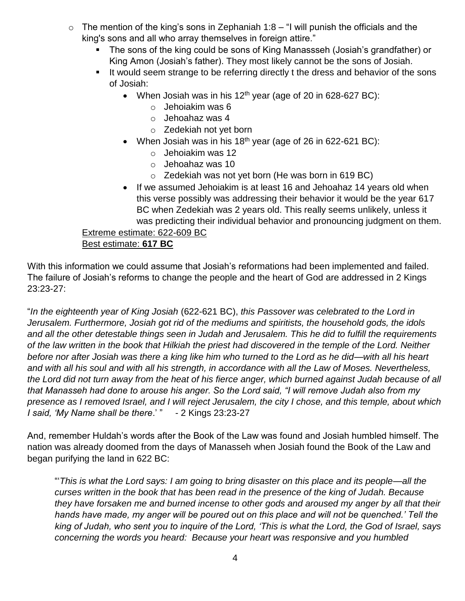- $\circ$  The mention of the king's sons in Zephaniah 1:8 "I will punish the officials and the king's sons and all who array themselves in foreign attire."
	- The sons of the king could be sons of King Manassseh (Josiah's grandfather) or King Amon (Josiah's father). They most likely cannot be the sons of Josiah.
	- If would seem strange to be referring directly t the dress and behavior of the sons of Josiah:
		- When Josiah was in his  $12<sup>th</sup>$  year (age of 20 in 628-627 BC):
			- o Jehoiakim was 6
			- o Jehoahaz was 4
			- o Zedekiah not yet born
		- When Josiah was in his 18<sup>th</sup> year (age of 26 in 622-621 BC):
			- o Jehoiakim was 12
			- o Jehoahaz was 10
			- $\circ$  Zedekiah was not yet born (He was born in 619 BC)
		- If we assumed Jehoiakim is at least 16 and Jehoahaz 14 years old when this verse possibly was addressing their behavior it would be the year 617 BC when Zedekiah was 2 years old. This really seems unlikely, unless it was predicting their individual behavior and pronouncing judgment on them.

#### Extreme estimate: 622-609 BC

#### Best estimate: **617 BC**

With this information we could assume that Josiah's reformations had been implemented and failed. The failure of Josiah's reforms to change the people and the heart of God are addressed in 2 Kings 23:23-27:

"*In the eighteenth year of King Josiah* (622-621 BC), *this Passover was celebrated to the Lord in Jerusalem. Furthermore, Josiah got rid of the mediums and spiritists, the household gods, the idols and all the other detestable things seen in Judah and Jerusalem. This he did to fulfill the requirements of the law written in the book that Hilkiah the priest had discovered in the temple of the Lord. Neither before nor after Josiah was there a king like him who turned to the Lord as he did—with all his heart and with all his soul and with all his strength, in accordance with all the Law of Moses. Nevertheless, the Lord did not turn away from the heat of his fierce anger, which burned against Judah because of all that Manasseh had done to arouse his anger. So the Lord said, "I will remove Judah also from my presence as I removed Israel, and I will reject Jerusalem, the city I chose, and this temple, about which I said, 'My Name shall be there*.' " - 2 Kings 23:23-27

And, remember Huldah's words after the Book of the Law was found and Josiah humbled himself. The nation was already doomed from the days of Manasseh when Josiah found the Book of the Law and began purifying the land in 622 BC:

"'*This is what the Lord says: I am going to bring disaster on this place and its people—all the curses written in the book that has been read in the presence of the king of Judah. Because they have forsaken me and burned incense to other gods and aroused my anger by all that their hands have made, my anger will be poured out on this place and will not be quenched.' Tell the king of Judah, who sent you to inquire of the Lord, 'This is what the Lord, the God of Israel, says concerning the words you heard: Because your heart was responsive and you humbled*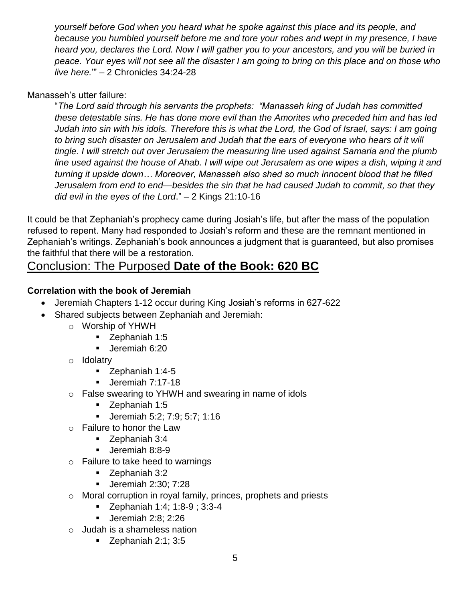*yourself before God when you heard what he spoke against this place and its people, and because you humbled yourself before me and tore your robes and wept in my presence, I have heard you, declares the Lord. Now I will gather you to your ancestors, and you will be buried in peace. Your eyes will not see all the disaster I am going to bring on this place and on those who live here.*'" – 2 Chronicles 34:24-28

#### Manasseh's utter failure:

"*The Lord said through his servants the prophets: "Manasseh king of Judah has committed these detestable sins. He has done more evil than the Amorites who preceded him and has led Judah into sin with his idols. Therefore this is what the Lord, the God of Israel, says: I am going to bring such disaster on Jerusalem and Judah that the ears of everyone who hears of it will tingle. I will stretch out over Jerusalem the measuring line used against Samaria and the plumb line used against the house of Ahab. I will wipe out Jerusalem as one wipes a dish, wiping it and turning it upside down… Moreover, Manasseh also shed so much innocent blood that he filled Jerusalem from end to end—besides the sin that he had caused Judah to commit, so that they did evil in the eyes of the Lord*." – 2 Kings 21:10-16

It could be that Zephaniah's prophecy came during Josiah's life, but after the mass of the population refused to repent. Many had responded to Josiah's reform and these are the remnant mentioned in Zephaniah's writings. Zephaniah's book announces a judgment that is guaranteed, but also promises the faithful that there will be a restoration.

### Conclusion: The Purposed **Date of the Book: 620 BC**

#### **Correlation with the book of Jeremiah**

- Jeremiah Chapters 1-12 occur during King Josiah's reforms in 627-622
- Shared subjects between Zephaniah and Jeremiah:
	- o Worship of YHWH
		- **Zephaniah 1:5**
		- Ueremiah 6:20
	- o Idolatry
		- Zephaniah 1:4-5
		- Ueremiah 7:17-18
	- o False swearing to YHWH and swearing in name of idols
		- **Zephaniah 1:5**
		- Jeremiah 5:2; 7:9; 5:7; 1:16
	- o Failure to honor the Law
		- **Zephaniah 3:4**
		- Ueremiah 8:8-9
	- $\circ$  Failure to take heed to warnings
		- Zephaniah 3:2
		- **Jeremiah 2:30; 7:28**
	- o Moral corruption in royal family, princes, prophets and priests
		- Zephaniah 1:4; 1:8-9 ; 3:3-4
		- **Jeremiah 2:8: 2:26**
	- o Judah is a shameless nation
		- $\blacksquare$  Zephaniah 2:1; 3:5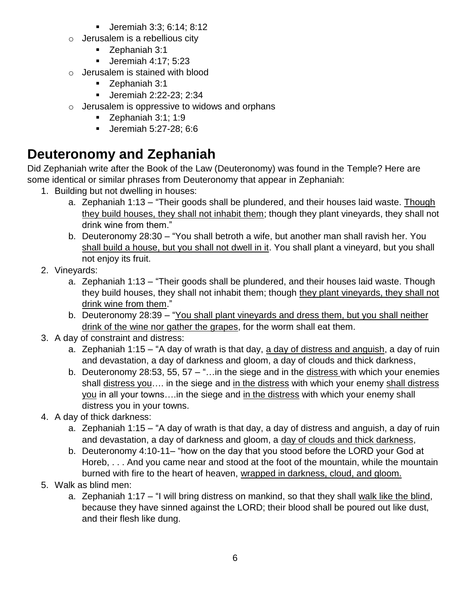- Jeremiah 3:3; 6:14; 8:12
- $\circ$  Jerusalem is a rebellious city
	- **Zephaniah 3:1**
	- **Jeremiah 4:17; 5:23**
- o Jerusalem is stained with blood
	- **Zephaniah 3:1**
	- Jeremiah 2:22-23; 2:34
- $\circ$  Jerusalem is oppressive to widows and orphans
	- $\blacksquare$  Zephaniah 3:1; 1:9
	- Jeremiah 5:27-28; 6:6

# **Deuteronomy and Zephaniah**

Did Zephaniah write after the Book of the Law (Deuteronomy) was found in the Temple? Here are some identical or similar phrases from Deuteronomy that appear in Zephaniah:

- 1. Building but not dwelling in houses:
	- a. Zephaniah 1:13 "Their goods shall be plundered, and their houses laid waste. Though they build houses, they shall not inhabit them; though they plant vineyards, they shall not drink wine from them."
	- b. Deuteronomy 28:30 "You shall betroth a wife, but another man shall ravish her. You shall build a house, but you shall not dwell in it. You shall plant a vineyard, but you shall not enjoy its fruit.
- 2. Vineyards:
	- a. Zephaniah 1:13 "Their goods shall be plundered, and their houses laid waste. Though they build houses, they shall not inhabit them; though they plant vineyards, they shall not drink wine from them."
	- b. Deuteronomy 28:39 "You shall plant vineyards and dress them, but you shall neither drink of the wine nor gather the grapes, for the worm shall eat them.
- 3. A day of constraint and distress:
	- a. Zephaniah 1:15 "A day of wrath is that day, a day of distress and anguish, a day of ruin and devastation, a day of darkness and gloom, a day of clouds and thick darkness,
	- b. Deuteronomy 28:53, 55, 57 "... in the siege and in the distress with which your enemies shall distress you.... in the siege and in the distress with which your enemy shall distress you in all your towns….in the siege and in the distress with which your enemy shall distress you in your towns.
- 4. A day of thick darkness:
	- a. Zephaniah 1:15 "A day of wrath is that day, a day of distress and anguish, a day of ruin and devastation, a day of darkness and gloom, a day of clouds and thick darkness,
	- b. Deuteronomy 4:10-11– "how on the day that you stood before the LORD your God at Horeb, . . . And you came near and stood at the foot of the mountain, while the mountain burned with fire to the heart of heaven, wrapped in darkness, cloud, and gloom.
- 5. Walk as blind men:
	- a. Zephaniah 1:17 "I will bring distress on mankind, so that they shall walk like the blind, because they have sinned against the LORD; their blood shall be poured out like dust, and their flesh like dung.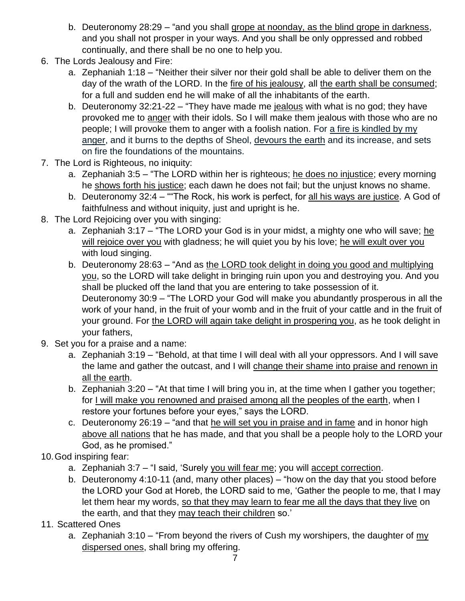- b. Deuteronomy 28:29 "and you shall grope at noonday, as the blind grope in darkness, and you shall not prosper in your ways. And you shall be only oppressed and robbed continually, and there shall be no one to help you.
- 6. The Lords Jealousy and Fire:
	- a. Zephaniah 1:18 "Neither their silver nor their gold shall be able to deliver them on the day of the wrath of the LORD. In the fire of his jealousy, all the earth shall be consumed; for a full and sudden end he will make of all the inhabitants of the earth.
	- b. Deuteronomy 32:21-22 "They have made me jealous with what is no god; they have provoked me to anger with their idols. So I will make them jealous with those who are no people; I will provoke them to anger with a foolish nation. For a fire is kindled by my anger, and it burns to the depths of Sheol, devours the earth and its increase, and sets on fire the foundations of the mountains.
- 7. The Lord is Righteous, no iniquity:
	- a. Zephaniah 3:5 "The LORD within her is righteous; he does no injustice; every morning he shows forth his justice; each dawn he does not fail; but the unjust knows no shame.
	- b. Deuteronomy 32:4 ""The Rock, his work is perfect, for all his ways are justice. A God of faithfulness and without iniquity, just and upright is he.
- 8. The Lord Rejoicing over you with singing:
	- a. Zephaniah 3:17 "The LORD your God is in your midst, a mighty one who will save; he will rejoice over you with gladness; he will quiet you by his love; he will exult over you with loud singing.
	- b. Deuteronomy 28:63 "And as the LORD took delight in doing you good and multiplying you, so the LORD will take delight in bringing ruin upon you and destroying you. And you shall be plucked off the land that you are entering to take possession of it. Deuteronomy 30:9 – "The LORD your God will make you abundantly prosperous in all the work of your hand, in the fruit of your womb and in the fruit of your cattle and in the fruit of your ground. For the LORD will again take delight in prospering you, as he took delight in your fathers,
- 9. Set you for a praise and a name:
	- a. Zephaniah 3:19 "Behold, at that time I will deal with all your oppressors. And I will save the lame and gather the outcast, and I will change their shame into praise and renown in all the earth.
	- b. Zephaniah 3:20 "At that time I will bring you in, at the time when I gather you together; for I will make you renowned and praised among all the peoples of the earth, when I restore your fortunes before your eyes," says the LORD.
	- c. Deuteronomy 26:19 "and that he will set you in praise and in fame and in honor high above all nations that he has made, and that you shall be a people holy to the LORD your God, as he promised."
- 10.God inspiring fear:
	- a. Zephaniah 3:7 "I said, 'Surely you will fear me; you will accept correction.
	- b. Deuteronomy 4:10-11 (and, many other places) "how on the day that you stood before the LORD your God at Horeb, the LORD said to me, 'Gather the people to me, that I may let them hear my words, so that they may learn to fear me all the days that they live on the earth, and that they may teach their children so.'
- 11. Scattered Ones
	- a. Zephaniah 3:10 "From beyond the rivers of Cush my worshipers, the daughter of my dispersed ones, shall bring my offering.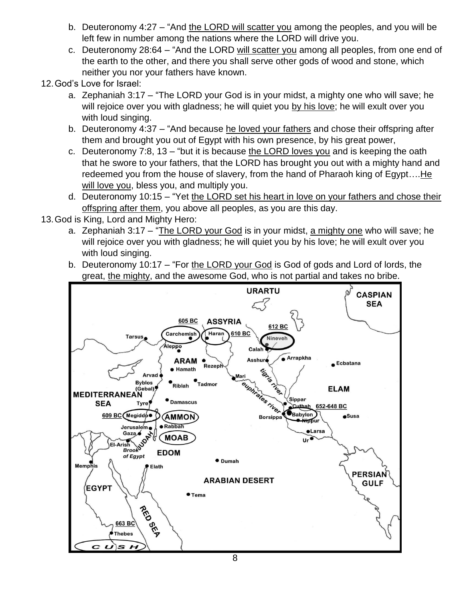- b. Deuteronomy 4:27 "And the LORD will scatter you among the peoples, and you will be left few in number among the nations where the LORD will drive you.
- c. Deuteronomy 28:64 "And the LORD will scatter you among all peoples, from one end of the earth to the other, and there you shall serve other gods of wood and stone, which neither you nor your fathers have known.
- 12.God's Love for Israel:
	- a. Zephaniah 3:17 "The LORD your God is in your midst, a mighty one who will save; he will rejoice over you with gladness; he will quiet you by his love; he will exult over you with loud singing.
	- b. Deuteronomy 4:37 "And because he loved your fathers and chose their offspring after them and brought you out of Egypt with his own presence, by his great power,
	- c. Deuteronomy 7:8, 13 "but it is because the LORD loves you and is keeping the oath that he swore to your fathers, that the LORD has brought you out with a mighty hand and redeemed you from the house of slavery, from the hand of Pharaoh king of Egypt….He will love you, bless you, and multiply you.
	- d. Deuteronomy 10:15 "Yet the LORD set his heart in love on your fathers and chose their offspring after them, you above all peoples, as you are this day.
- 13.God is King, Lord and Mighty Hero:
	- a. Zephaniah  $3:17 -$  "The LORD your God is in your midst, a mighty one who will save; he will rejoice over you with gladness; he will quiet you by his love; he will exult over you with loud singing.
	- b. Deuteronomy 10:17 "For the LORD your God is God of gods and Lord of lords, the great, the mighty, and the awesome God, who is not partial and takes no bribe.

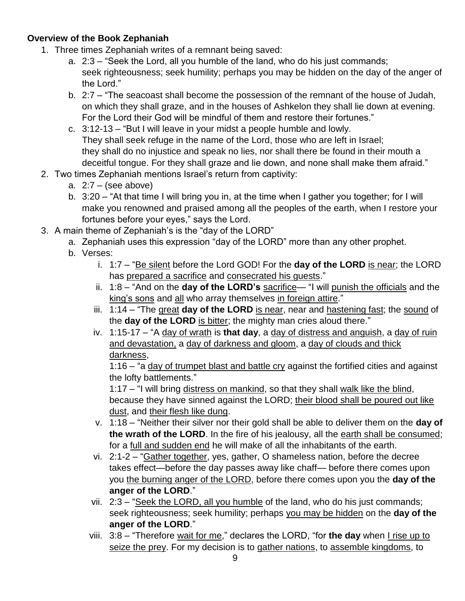#### **Overview of the Book Zephaniah**

- 1. Three times Zephaniah writes of a remnant being saved:
	- a. 2:3 "Seek the Lord, all you humble of the land, who do his just commands; seek righteousness; seek humility; perhaps you may be hidden on the day of the anger of the Lord."
	- b. 2:7 "The seacoast shall become the possession of the remnant of the house of Judah, on which they shall graze, and in the houses of Ashkelon they shall lie down at evening. For the Lord their God will be mindful of them and restore their fortunes."
	- c. 3:12-13 "But I will leave in your midst a people humble and lowly. They shall seek refuge in the name of the Lord, those who are left in Israel; they shall do no injustice and speak no lies, nor shall there be found in their mouth a deceitful tongue. For they shall graze and lie down, and none shall make them afraid."
- 2. Two times Zephaniah mentions Israel's return from captivity:
	- a.  $2:7 -$  (see above)
	- b. 3:20 "At that time I will bring you in, at the time when I gather you together; for I will make you renowned and praised among all the peoples of the earth, when I restore your fortunes before your eyes," says the Lord.
- 3. A main theme of Zephaniah's is the "day of the LORD"
	- a. Zephaniah uses this expression "day of the LORD" more than any other prophet.
	- b. Verses:
		- i. 1:7 "Be silent before the Lord GOD! For the **day of the LORD** is near; the LORD has prepared a sacrifice and consecrated his guests."
		- ii. 1:8 "And on the **day of the LORD's** sacrifice— "I will punish the officials and the king's sons and all who array themselves in foreign attire."
		- iii. 1:14 "The great **day of the LORD** is near, near and hastening fast; the sound of the **day of the LORD** is bitter; the mighty man cries aloud there."
		- iv. 1:15-17 "A day of wrath is **that day**, a day of distress and anguish, a day of ruin and devastation, a day of darkness and gloom, a day of clouds and thick darkness,

1:16 – "a day of trumpet blast and battle cry against the fortified cities and against the lofty battlements."

1:17 – "I will bring distress on mankind, so that they shall walk like the blind, because they have sinned against the LORD; their blood shall be poured out like dust, and their flesh like dung.

- v. 1:18 "Neither their silver nor their gold shall be able to deliver them on the **day of**  the wrath of the LORD. In the fire of his jealousy, all the earth shall be consumed; for a full and sudden end he will make of all the inhabitants of the earth.
- vi. 2:1-2 "Gather together, yes, gather, O shameless nation, before the decree takes effect—before the day passes away like chaff— before there comes upon you the burning anger of the LORD, before there comes upon you the **day of the anger of the LORD**."
- vii. 2:3 "Seek the LORD, all you humble of the land, who do his just commands; seek righteousness; seek humility; perhaps you may be hidden on the **day of the anger of the LORD**."
- viii. 3:8 "Therefore wait for me," declares the LORD, "for the day when I rise up to seize the prey. For my decision is to gather nations, to assemble kingdoms, to